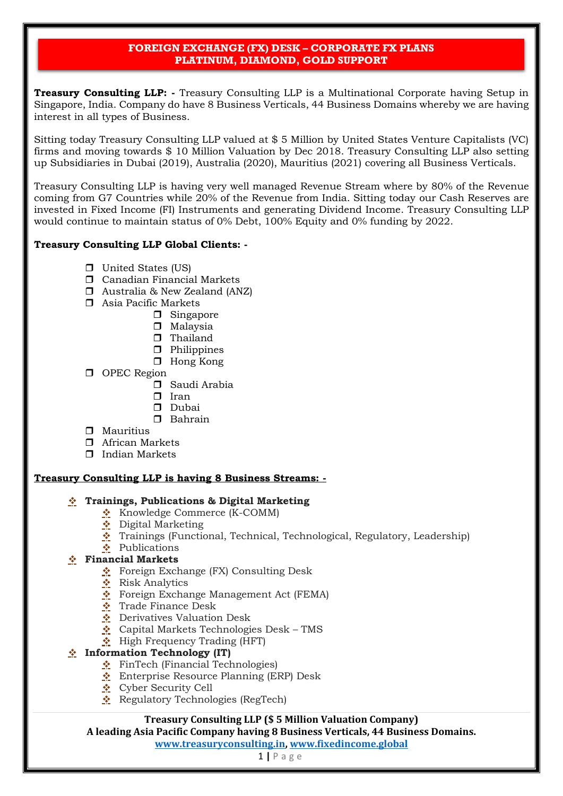**Treasury Consulting LLP: -** Treasury Consulting LLP is a Multinational Corporate having Setup in Singapore, India. Company do have 8 Business Verticals, 44 Business Domains whereby we are having interest in all types of Business.

Sitting today Treasury Consulting LLP valued at \$ 5 Million by United States Venture Capitalists (VC) firms and moving towards \$ 10 Million Valuation by Dec 2018. Treasury Consulting LLP also setting up Subsidiaries in Dubai (2019), Australia (2020), Mauritius (2021) covering all Business Verticals.

Treasury Consulting LLP is having very well managed Revenue Stream where by 80% of the Revenue coming from G7 Countries while 20% of the Revenue from India. Sitting today our Cash Reserves are invested in Fixed Income (FI) Instruments and generating Dividend Income. Treasury Consulting LLP would continue to maintain status of 0% Debt, 100% Equity and 0% funding by 2022.

# **Treasury Consulting LLP Global Clients: -**

- **D** United States (US)
- Canadian Financial Markets
- Australia & New Zealand (ANZ)
- Asia Pacific Markets
	- **D** Singapore
	- $\square$  Malaysia
	- $\Box$  Thailand
	- **D** Philippines
	- □ Hong Kong
- **D** OPEC Region
	- Saudi Arabia
	- $\Box$  Iran
	- **D** Dubai
	- Bahrain
- $\Box$  Mauritius
- African Markets
- $\Box$  Indian Markets

### **Treasury Consulting LLP is having 8 Business Streams: -**

# ❖ **Trainings, Publications & Digital Marketing**

- ❖ Knowledge Commerce (K-COMM)
- ❖ Digital Marketing
- ❖ Trainings (Functional, Technical, Technological, Regulatory, Leadership)
- ❖ Publications

### ❖ **Financial Markets**

- ❖ Foreign Exchange (FX) Consulting Desk
- ❖ Risk Analytics
- ❖ Foreign Exchange Management Act (FEMA)
- ❖ Trade Finance Desk
- ❖ Derivatives Valuation Desk
- ❖ Capital Markets Technologies Desk TMS
- ❖ High Frequency Trading (HFT)

# ❖ **Information Technology (IT)**

- ❖ FinTech (Financial Technologies)
- ❖ Enterprise Resource Planning (ERP) Desk
- ❖ Cyber Security Cell
- ❖ Regulatory Technologies (RegTech)

# **Treasury Consulting LLP (\$ 5 Million Valuation Company)**

**A leading Asia Pacific Company having 8 Business Verticals, 44 Business Domains.** 

**[www.treasuryconsulting.in,](http://www.treasuryconsulting.in/) www.fixedincome.global**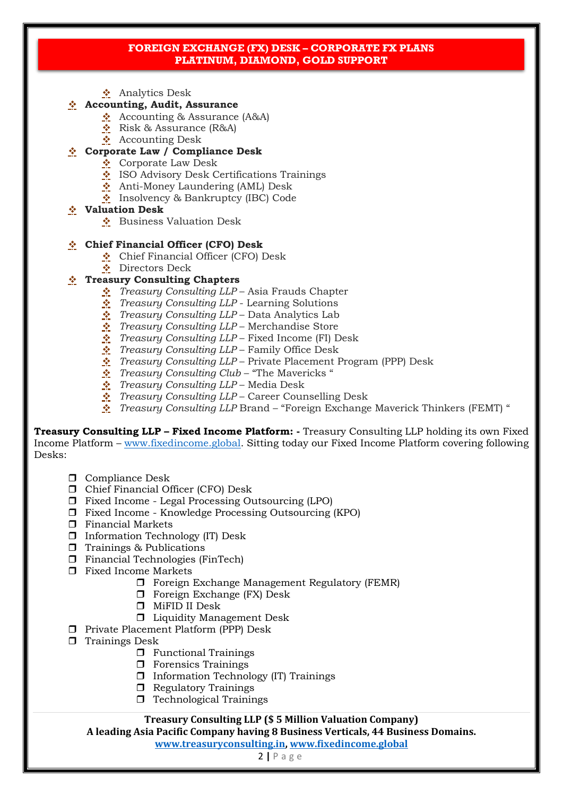❖ Analytics Desk

### ❖ **Accounting, Audit, Assurance**

- ❖ Accounting & Assurance (A&A)
- ❖ Risk & Assurance (R&A)
- ❖ Accounting Desk

### ❖ **Corporate Law / Compliance Desk**

- ❖ Corporate Law Desk
- ISO Advisory Desk Certifications Trainings
- ❖ Anti-Money Laundering (AML) Desk
- ❖ Insolvency & Bankruptcy (IBC) Code

#### ❖ **Valuation Desk**

❖ Business Valuation Desk

### ❖ **Chief Financial Officer (CFO) Desk**

- ❖ Chief Financial Officer (CFO) Desk
- ❖ Directors Deck

### ❖ **Treasury Consulting Chapters**

- ❖ *Treasury Consulting LLP* Asia Frauds Chapter
- ❖ *Treasury Consulting LLP* Learning Solutions
- ❖ *Treasury Consulting LLP* Data Analytics Lab
- ❖ *Treasury Consulting LLP* Merchandise Store
- ❖ *Treasury Consulting LLP* Fixed Income (FI) Desk
- ❖ *Treasury Consulting LLP* Family Office Desk
- ❖ *Treasury Consulting LLP* Private Placement Program (PPP) Desk
- ❖ *Treasury Consulting Club* "The Mavericks "
- ❖ *Treasury Consulting LLP* Media Desk
- ❖ *Treasury Consulting LLP* Career Counselling Desk
- ❖ *Treasury Consulting LLP* Brand "Foreign Exchange Maverick Thinkers (FEMT) "

**Treasury Consulting LLP – Fixed Income Platform: -** Treasury Consulting LLP holding its own Fixed Income Platform – [www.fixedincome.global.](http://www.fixedincome.global/) Sitting today our Fixed Income Platform covering following Desks:

- **O** Compliance Desk
- Chief Financial Officer (CFO) Desk
- $\Box$  Fixed Income Legal Processing Outsourcing (LPO)
- Fixed Income Knowledge Processing Outsourcing (KPO)
- $\hfill\Box$  Financial Markets
- Information Technology (IT) Desk
- $\Box$  Trainings & Publications
- Financial Technologies (FinTech)
- Fixed Income Markets
	- Foreign Exchange Management Regulatory (FEMR)
	- $\Box$  Foreign Exchange (FX) Desk
	- MiFID II Desk
	- **Liquidity Management Desk**
- **Private Placement Platform (PPP) Desk**
- $\Box$  Trainings Desk
	- $\Box$  Functional Trainings
	- $\Box$  Forensics Trainings
	- $\Box$  Information Technology (IT) Trainings
	- **B** Regulatory Trainings
	- $\Box$  Technological Trainings

### **Treasury Consulting LLP (\$ 5 Million Valuation Company)**

**A leading Asia Pacific Company having 8 Business Verticals, 44 Business Domains.** 

**[www.treasuryconsulting.in,](http://www.treasuryconsulting.in/) www.fixedincome.global**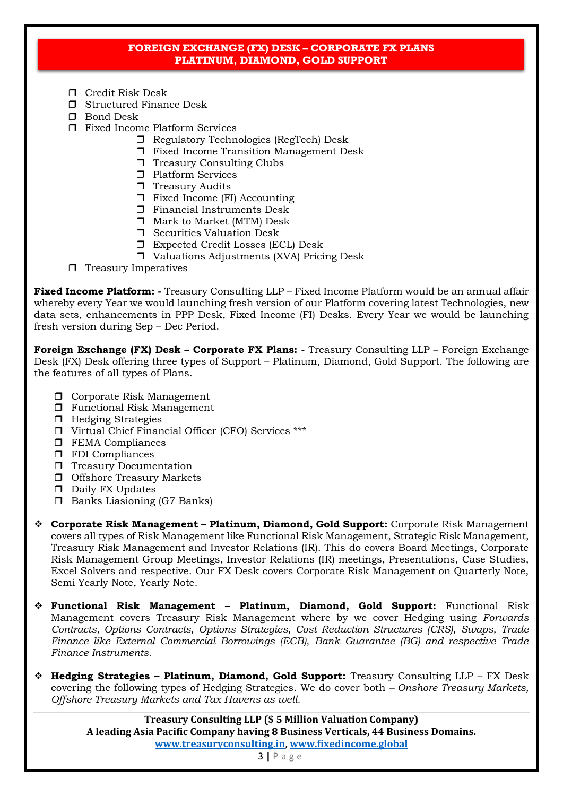- □ Credit Risk Desk
- $\Box$  Structured Finance Desk
- **D** Bond Desk
- Fixed Income Platform Services
	- □ Regulatory Technologies (RegTech) Desk
	- Fixed Income Transition Management Desk
	- $\Box$  Treasury Consulting Clubs
	- **Platform Services**
	- $\Box$  Treasury Audits
	- $\Box$  Fixed Income (FI) Accounting
	- **Financial Instruments Desk**
	- Mark to Market (MTM) Desk
	- $\Box$  Securities Valuation Desk
	- Expected Credit Losses (ECL) Desk
	- $\Box$  Valuations Adjustments (XVA) Pricing Desk
- $\Box$  Treasury Imperatives

**Fixed Income Platform: -** Treasury Consulting LLP – Fixed Income Platform would be an annual affair whereby every Year we would launching fresh version of our Platform covering latest Technologies, new data sets, enhancements in PPP Desk, Fixed Income (FI) Desks. Every Year we would be launching fresh version during Sep – Dec Period.

**Foreign Exchange (FX) Desk – Corporate FX Plans: -** Treasury Consulting LLP – Foreign Exchange Desk (FX) Desk offering three types of Support – Platinum, Diamond, Gold Support. The following are the features of all types of Plans.

- **D** Corporate Risk Management
- **T** Functional Risk Management
- $\Box$  Hedging Strategies
- Virtual Chief Financial Officer (CFO) Services \*\*\*
- $\Box$  FEMA Compliances
- $\Box$  FDI Compliances
- **T** Treasury Documentation
- **O** Offshore Treasury Markets
- D Daily FX Updates
- $\Box$  Banks Liasioning (G7 Banks)
- ❖ **Corporate Risk Management – Platinum, Diamond, Gold Support:** Corporate Risk Management covers all types of Risk Management like Functional Risk Management, Strategic Risk Management, Treasury Risk Management and Investor Relations (IR). This do covers Board Meetings, Corporate Risk Management Group Meetings, Investor Relations (IR) meetings, Presentations, Case Studies, Excel Solvers and respective. Our FX Desk covers Corporate Risk Management on Quarterly Note, Semi Yearly Note, Yearly Note.
- ❖ **Functional Risk Management – Platinum, Diamond, Gold Support:** Functional Risk Management covers Treasury Risk Management where by we cover Hedging using *Forwards Contracts, Options Contracts, Options Strategies, Cost Reduction Structures (CRS), Swaps, Trade Finance like External Commercial Borrowings (ECB), Bank Guarantee (BG) and respective Trade Finance Instruments.*
- ❖ **Hedging Strategies – Platinum, Diamond, Gold Support:** Treasury Consulting LLP FX Desk covering the following types of Hedging Strategies. We do cover both *– Onshore Treasury Markets, Offshore Treasury Markets and Tax Havens as well.*

**Treasury Consulting LLP (\$ 5 Million Valuation Company) A leading Asia Pacific Company having 8 Business Verticals, 44 Business Domains. [www.treasuryconsulting.in,](http://www.treasuryconsulting.in/) www.fixedincome.global**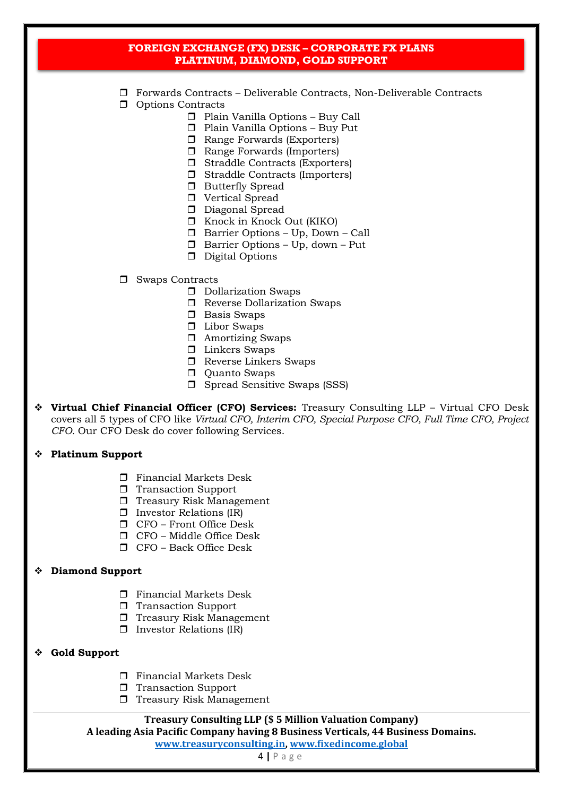- Forwards Contracts Deliverable Contracts, Non-Deliverable Contracts
- **D** Options Contracts
	- Plain Vanilla Options Buy Call
	- Plain Vanilla Options Buy Put
	- □ Range Forwards (Exporters)
	- □ Range Forwards (Importers)
	- $\Box$  Straddle Contracts (Exporters)
	- Straddle Contracts (Importers)
	- **Butterfly Spread**
	- **D** Vertical Spread
	- D Diagonal Spread
	- Knock in Knock Out (KIKO)
	- Barrier Options Up, Down Call
	- $\Box$  Barrier Options Up, down Put
	- D Digital Options
- □ Swaps Contracts
	- D Dollarization Swaps
	- **T** Reverse Dollarization Swaps
	- **D** Basis Swaps
	- Libor Swaps
	- Amortizing Swaps
	- **D** Linkers Swaps
	- □ Reverse Linkers Swaps
	- **D** Quanto Swaps
	- □ Spread Sensitive Swaps (SSS)
- ❖ **Virtual Chief Financial Officer (CFO) Services:** Treasury Consulting LLP Virtual CFO Desk covers all 5 types of CFO like *Virtual CFO, Interim CFO, Special Purpose CFO, Full Time CFO, Project CFO.* Our CFO Desk do cover following Services.

### ❖ **Platinum Support**

- **T** Financial Markets Desk
- **T** Transaction Support
- $\Box$  Treasury Risk Management
- $\Box$  Investor Relations (IR)
- $\Box$  CFO Front Office Desk
- $\Box$  CFO Middle Office Desk
- CFO Back Office Desk

#### ❖ **Diamond Support**

- $\Box$  Financial Markets Desk
- **T** Transaction Support
- $\Box$  Treasury Risk Management
- $\Box$  Investor Relations (IR)
- ❖ **Gold Support**
	- $\Box$  Financial Markets Desk
	- **T** Transaction Support
	- $\Box$  Treasury Risk Management

#### **Treasury Consulting LLP (\$ 5 Million Valuation Company)**

**A leading Asia Pacific Company having 8 Business Verticals, 44 Business Domains.** 

**[www.treasuryconsulting.in,](http://www.treasuryconsulting.in/) www.fixedincome.global**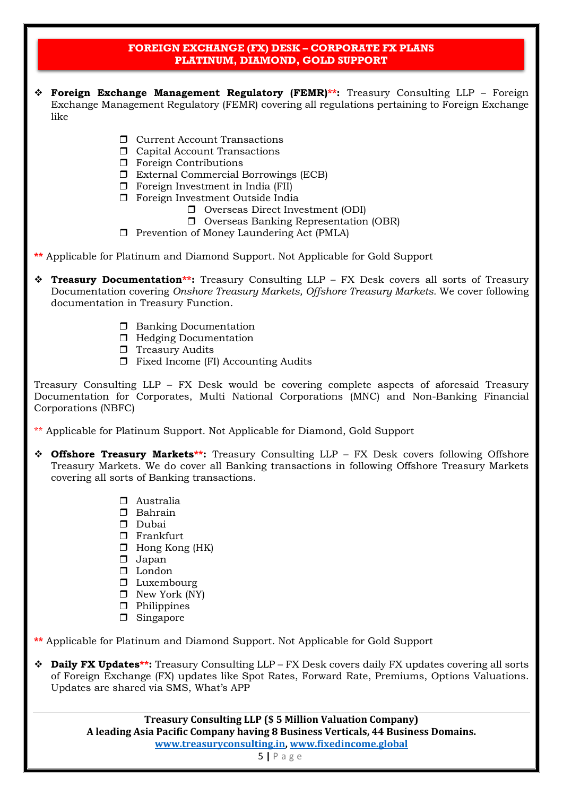- ❖ **Foreign Exchange Management Regulatory (FEMR)\*\*:** Treasury Consulting LLP Foreign Exchange Management Regulatory (FEMR) covering all regulations pertaining to Foreign Exchange like
	- **D** Current Account Transactions
	- $\Box$  Capital Account Transactions
	- $\Box$  Foreign Contributions
	- External Commercial Borrowings (ECB)
	- $\Box$  Foreign Investment in India (FII)
	- $\Box$  Foreign Investment Outside India
		- □ Overseas Direct Investment (ODI)
		- Overseas Banking Representation (OBR)
	- $\Box$  Prevention of Money Laundering Act (PMLA)
- **\*\*** Applicable for Platinum and Diamond Support. Not Applicable for Gold Support
- ❖ **Treasury Documentation\*\*:** Treasury Consulting LLP FX Desk covers all sorts of Treasury Documentation covering *Onshore Treasury Markets, Offshore Treasury Markets.* We cover following documentation in Treasury Function.
	- **Banking Documentation**
	- **Hedging Documentation**
	- $\Box$  Treasury Audits
	- $\Box$  Fixed Income (FI) Accounting Audits

Treasury Consulting LLP – FX Desk would be covering complete aspects of aforesaid Treasury Documentation for Corporates, Multi National Corporations (MNC) and Non-Banking Financial Corporations (NBFC)

\*\* Applicable for Platinum Support. Not Applicable for Diamond, Gold Support

- ❖ **Offshore Treasury Markets\*\*:** Treasury Consulting LLP FX Desk covers following Offshore Treasury Markets. We do cover all Banking transactions in following Offshore Treasury Markets covering all sorts of Banking transactions.
	- Australia
	- Bahrain
	- **Dubai**
	- **D** Frankfurt
	- $\Box$  Hong Kong (HK)
	- $\Box$  Japan
	- $\Box$  London
	- $\Box$  Luxembourg
	- $\Box$  New York (NY)
	- **D** Philippines
	- **D** Singapore

**\*\*** Applicable for Platinum and Diamond Support. Not Applicable for Gold Support

❖ **Daily FX Updates\*\*:** Treasury Consulting LLP – FX Desk covers daily FX updates covering all sorts of Foreign Exchange (FX) updates like Spot Rates, Forward Rate, Premiums, Options Valuations. Updates are shared via SMS, What's APP

> **Treasury Consulting LLP (\$ 5 Million Valuation Company) A leading Asia Pacific Company having 8 Business Verticals, 44 Business Domains. [www.treasuryconsulting.in,](http://www.treasuryconsulting.in/) www.fixedincome.global**